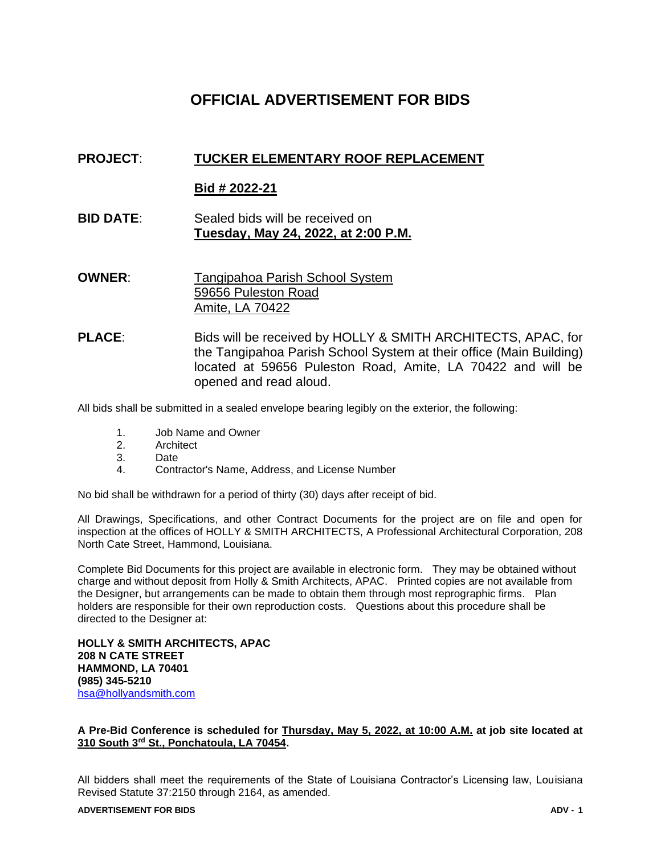# **OFFICIAL ADVERTISEMENT FOR BIDS**

## **PROJECT**: **TUCKER ELEMENTARY ROOF REPLACEMENT**

## **Bid # 2022-21**

- **BID DATE**: Sealed bids will be received on **Tuesday, May 24, 2022, at 2:00 P.M.**
- **OWNER:** Tangipahoa Parish School System 59656 Puleston Road Amite, LA 70422
- **PLACE**: Bids will be received by HOLLY & SMITH ARCHITECTS, APAC, for the Tangipahoa Parish School System at their office (Main Building) located at 59656 Puleston Road, Amite, LA 70422 and will be opened and read aloud.

All bids shall be submitted in a sealed envelope bearing legibly on the exterior, the following:

- 1. Job Name and Owner
- 2. Architect
- 3. Date
- 4. Contractor's Name, Address, and License Number

No bid shall be withdrawn for a period of thirty (30) days after receipt of bid.

All Drawings, Specifications, and other Contract Documents for the project are on file and open for inspection at the offices of HOLLY & SMITH ARCHITECTS, A Professional Architectural Corporation, 208 North Cate Street, Hammond, Louisiana.

Complete Bid Documents for this project are available in electronic form. They may be obtained without charge and without deposit from Holly & Smith Architects, APAC. Printed copies are not available from the Designer, but arrangements can be made to obtain them through most reprographic firms. Plan holders are responsible for their own reproduction costs. Questions about this procedure shall be directed to the Designer at:

**HOLLY & SMITH ARCHITECTS, APAC 208 N CATE STREET HAMMOND, LA 70401 (985) 345-5210** [hsa@hollyandsmith.com](mailto:hsa@hollyandsmith.com)

### **A Pre-Bid Conference is scheduled for Thursday, May 5, 2022, at 10:00 A.M. at job site located at 310 South 3rd St., Ponchatoula, LA 70454.**

All bidders shall meet the requirements of the State of Louisiana Contractor's Licensing law, Louisiana Revised Statute 37:2150 through 2164, as amended.

#### **ADVERTISEMENT FOR BIDS ADV - 1**